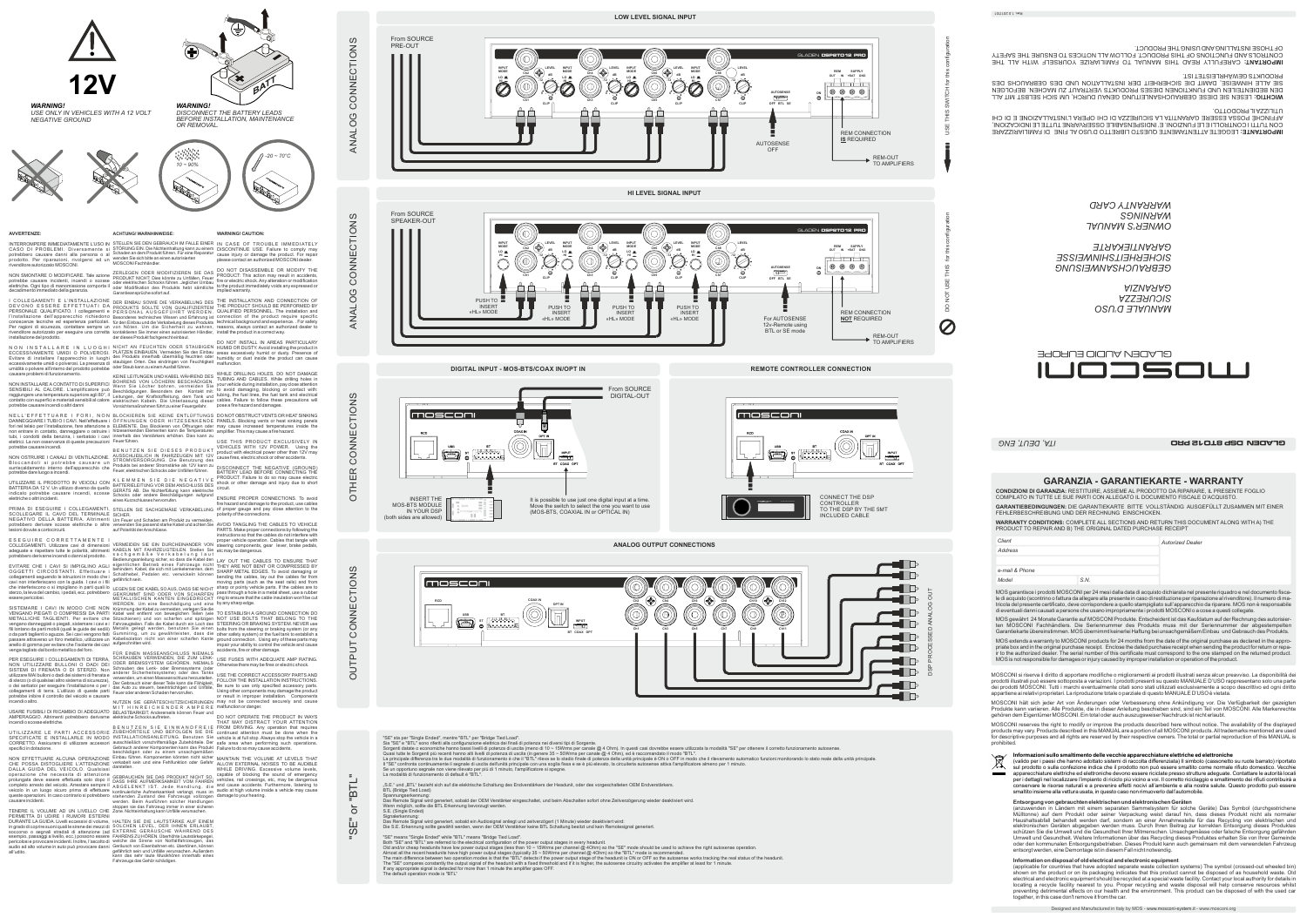

**MODE INPUT**

**LO HI**

## **AVVERTENZE:**

N O N I N S T A L L A R E I N L U O G H I<br>ECCESSIVAMENTE UMIDI O POLVEROSI.<br>Evitare di installare l'apparecchio in luoghi<br>eccessivamente umidio polverosi. La presenza di<br>umidità o polvere all'interno del prodotto potrebbe causare problemi di funzionamento.

NON SMONTARE O MODIFICARE. Tale azione potrebbe causare incidenti, incendi o scosse elettriche. Ogni tipo di manomissione comporta il decadimento immediato della garanzia.

I COLLEGAMENTI E L'INSTALLAZIONE<br>DEVONO ESSERE EFFETTUATI DA<br>PERSONALE QUALIFICATO. I collegamenti e<br>l'installazione dell'apparecchio richiedono<br>conoscenze tecniche ed esperienza particolari.<br>Per ragioni di sicurezza, cont

N E L L ' E F F E T T U A R E I F O R I , N O N<br>DANNEGGIARE I TUBI O I CAVI. Nell'effettuare i<br>fori nel telaio per l'installazione, fare attenzione a<br>non entrare in contatto, danneggiare o ostruire i tubi, i condotti della benzina, i serbatoio i cavi elettrici. La non osservanza di queste precauzioni innerhalb des Verstärkers erhöhen. Dies kann zu Feuer führen. USE THIS PRODUCT EXCLUSIVELY IN potrebbe causare incendi.

NON OSTRUIRE I CANALI DI VENTILAZIONE.<br>Bloccandoli si potrebbe causare un<br>surriscaldamento interno dell'apparecchio che<br>potrebbe dare luogo a incendi.

EVITARE CHE I CAVI SI IMPIGLINO AGLI<br>OGGETTI CIRCOSTANTI. Effettuare i<br>collegamenti seguendo le istruzioni in modo che i<br>cavi non interferiscano con la guida. I cavi o i fili che interferiscono o si impigliano in parti quali lo sterzo, la leva del cambio, i pedali, ecc. potrebbero essere pericolosi.

NON INSTALLARE A CONTATTO DI SUPERFICI SENSIBILI AL CALORE. L'amplificatore può raggiungere una temperatura superiore agli 80°, il contatto con superfici e materiali sensibili al calore potrebbe causare incendi o altri danni

SISTEMARE I CAVI IN MODO CHE NON<br>VENGANO PIEGATI O COMPRESSI DA PARTI<br>METALLICHE TAGLIENTI. Per evitare che<br>vengano danneggiati o piegati, sistemare i cavi e i fili lontano da parti mobili (quali le guide dei sedili) o da parti taglienti o aguzze. Se i cavi vengono fatti passare attraverso un foro metallico, utilizzare un anello di gomma per evitare che l'isolante dei cavi venga tagliato dal bordo metallico del foro.

PER ESEGUIRE I COLLEGAMENTI DI TERRA,<br>NON UTILIZZARE BULLONI O DADI DEI<br>SISTEMI DI FRENATA O DI STERZO. Non<br>utilizzare MAI bulloni o dadi dei sistemi di frenata e<br>di sterzo (o di qualsiasi altro sistema di sicurezza),<br>o de incendi o altro.

TENERE IL VOLUME AD UN LIVELLO CHE stoppen sie das Fahrzeug immer in einer sicheren Zone. Nichteinhaltung kann Unfälle verursachen. PERMETTA DI UDIRE I RUMORI ESTERNI<br>DURANTELAGUIDA.Livelli eccessivi di volume, HALTEN SIE DIE LAUTSTÄRKE AUF EINEM in grado di coprire suoni quali le sirene dei mezzi di<br>soccorso o segnali stradali di attenzione (ad<br>esempio, passaggi a livello, ecc.) possono essere<br>pericolosi e provocare incidenti. Inoltre, l'ascolto di<br>aul'udito.<br>all'

UTILIZZARE IL PRODOTTO IN VEICOLI CON BATTERIA DA 12 V. Un utilizzo diverso da quello indicato potrebbe causare incendi, scosse elettriche o altri incidenti.

INTERROMPERE IMMEDIATAMENTE L'USO IN STELLEN SIE DEN GEBRAUCH IM FALLE EINER IN CASE OF TROUBLE IMMEDIATELY CASO DI PROBLEMI. Diversamente si potrebbero causare danni alla persona o al prodotto. Per riparazioni, rivolgersi ad un rivenditore autorizzato MOSCONI. STÖRUNG EIN. Die Nichteinhaltung kann zu einem Schaden an dem Produkt führen. Für eine Reparatur wenden Sie sich bitte an einen autorisierten MOSCONI Fachhändler.

SCOLLEGARE IL CAVO DEL TERMINALE NEGATIVO DELLA BATTERIA. Altrimenti potrebbero derivare scosse elettriche o altre lesioni dovute a cortocircuiti.

E S E G U I R E C O R R E T T A M E N T E I<br>COLLEGAMENTI. Utilizzare cavi di dimensioni<br>adeguate e rispettare tutte le polarità, altrimenti<br>potrebbero derivarne incendi o danni al prodotto.

VERMEIDEN SIE EIN DURCHEINANDER VON KABELN MIT FAHRZEUGTEILEN. Stellen Sie s a c h g e m ä ß e V e r k a b e l u n g l a u t Bedienungsanleitung sicher, so dass die Kabel den<br>eigentlichen Betrieb eines Fahrzeugs nicht<br>behindern. Kabel, die sich mit Lenkelementen, dem<br>Schalthebel, Pedalen etc. verwickeln können<br>gefährlich sein.

LEGEN SIE DIE KABEL SOAUS, DASS SIE NICHT<br>GEKRÜMMT SIND ODER VON SCHARFEN<br>METALLISCHEN KANTEN EINGEDRÜCKT<br>WERDEN. Um eine Beschädigung und eine<br>Krümmungder Kabel zu vermeiden, verlegen Sie die<br>Kabel weit entfernt von schar Metalls gelegt werden, benutzen Sie einen Gummiring, um zu gewährleisten, dass die Kabelisolation nicht von einer scharfen Kante aufgeschnitten wird.

FÜR EINEN MASSEANSCHLUSS NIEMALS accidents, fire or other damage. SCHRAUBEN VERWENDEN, DIE ZUM LENK-<br>ODER BREMSSYSTEM GEHÖREN. NEMALS<br>Schrauben des Lenk- oder Bremssystems (oder<br>anderer Sicherheitssysteme) oder des Tanks<br>verwenden, um einen Masseanschluss herzustellen.<br>Der Gebrauch einer

USARE FUSIBILI DI RICAMBIO DI ADEGUATO AMPERAGGIO. Altrimenti potrebbero derivarne elektrische Schocks auftreten. incendi o scosse elettriche.

UTILIZZARE LE PARTI ACCESSORIE<br>SPECIFICATE E INSTALLARLE IN MODO<br>CORRETTO. Assicurarsi di utilizzare accessori<br>specificiindotazione.

NON EFFETTUARE ALCUNA OPERAZIONE<br>CHE POSSA DISTOGLIERE L'ATTENZIONE<br>DALLA GUIDA DEL VEICOLO. Qualsiasi<br>operazione che necessita di attenzione<br>prolungata deve essere effettuata solo dopo il<br>completo arresto del veicolo. Arr

B E N U T Z E N S I E E I N W A N D F R E I E<br>ZUBEHÖRTEILE UND BEFOLGEN SIE DIE<br>INSTALLATIONSANLEITUNG. Benutzen Sie<br>ausschließlich vorschriftsmäßige Zubehörteile. Der Gebrauch anderer Komponenten kann das Produkt Failure to do so may cause accidents. beschädigen oder zu einem unsachgemäßen Einbau führen. Komponenten könnten nicht sicher verkabelt sein und eine Fehlfunktion oder Gefahr darstellen.

GEBRAUCHEN SIE DAS PRODUKT NICHT SO,<br>DASS IHRE AUFMERKSAMKEIT VOM FAHREN<br>ABGELENKT IST. Jede Handlung, die<br>kontinuierliche Aufmerksamkeit verlangt, muss im<br>stehenden Zustand des Fahrzeugs vollzogen<br>werden. Beim Ausführen s

SOLCHEN LEVEL, DER IHNEN ERLAUBT,<br>EXTERNE GERÄUSCHE WÄHREND DES<br>FAHRENS ZU HÖREN. Überhöhte Lautstärkepegel,<br>welche die Sirene von Notfallfahrzeugen, das<br>Geräusch von Eisenbahnen etc. übertönen, können<br>gefährlich sein und

**ACHTUNG! WARNHINWEISE:**

ZERLEGEN ODER MODIFIZIEREN SIE DAS<br>PRODUKT NICHT: Dies könnte zu Unfällen, Feuer<br>oder elektrischen Schocks führen. Jeglicher Umbau<br>oder Modifikation des Produkts hebt sämtliche<br>Garantieansprüche sofort auf.

DER EINBAU SOWIE DIE VERKABELUNG DES<br>PRODUKTS SOLLTE VON QUALIFIZIERTEM<br>PERSONAL AUSGEFÜHRT WERDEN<br>Besonderes technisches Wissen und Erfahrung ist<br>für den Einbau und die Verkabelung dieses Produkts<br>von Nõten. Um die Sicher

NICHT AN FEUCHTEN ODER STAUBIGEN<br>PLÄTZEN EINBAUEN. Vermeiden Sie den Einbau<br>des Produkts innerhalb übermäßig feuchten oder<br>staub kann zu einem Ausfall führen.<br>oder Staub kann zu einem Ausfall führen.

KEINE LEITUNGEN UND KABEL WAHREND DES<br>BOHRENS VON LÖCHERN BESCHÄDDIGEN.<br>Wenn Sie Löcher bohren, vermeiden Sie<br>Beschädigungen. Besonders den Kontakt mit.<br>Leitungen, der Kraftstoffleitung, dem Tank und<br>elektrischen Kabeln. D Vorsichtsmaßnahmen führt zu einer Feuergefahr. pose a fire hazard and damages.

BLOCKIEREN SIE KEINE ENTLÜFTUNGS<br>ÖFFNUNGEN ODEN HITZESENKENDE<br>ELEMENTE. Das Blockieren von Öffnungen oder<br>hitzesenkenden Elementen kann die Temperaturen

B E N U T Z E N SIE DIE SES PRODUKT<br>AUSSCHLIEßLICH IN FAHRZEUGEN MIT 12V<br>STROMVERSORGUNG. Die Benutzung des<br>Produkts bei anderer Stromstärke als 12V kann zu<br>Feuer, elektrischen Schocks oder Unfällen führen.

K L E M M E N S I E D I E N E G A T I V E<br>BATTERIELEITUNG VOR DEM ANSCHLUSS DES<br>GERÄTS AB. Die Nichterfüllung kann elektrische<br>Schocks oder andere Beschädigungen aufgrund<br>eines Kurzschlusses hervorrufen.

fire hazard and damage to the product, use cables<br>PRIMA\_DI\_ESEGUIRE\_I\_COLLEGAMENTI,\_STELLEN\_SIE\_SACHGEMÄßE\_VERKABELUNG\_of proper\_gauge\_and\_pay\_close\_attention\_to\_the ENSURE PROPER CONNECTIONS. To avoid of proper gauge and pay close attention to the polarity of the connections.

> LAY OUT THE CABLES TO ENSURE THAT<br>THEY ARE NOT BENT OR COMPRESSED BY<br>SHARP METAL EDGES. To avoid damaging or<br>bending the cables, lay out the cables far from<br>moving parts (such as the seat rails) and from sharp or pointy vehicle parts. If the cables are to pass through a hole in a metal sheet, use a rubber ring to ensure that the cable insulation won't be cut by any sharp edge.

TO ESTABLISH A GROUND CONNECTION DO NOT USE BOLTS THAT BELONG TO THE STEERING OR BRAKING SYSTEM. NEVER use bolts from the steering or braking system (or any<br>other safety system) or the fuel tank to establish a<br>ground connection. Using any of these parts may<br>impair your ability to control the vehicle and cause

USE THE CORRECT ACCESSORY PARTS AND<br>FOLLOW THE INSTALLATION INSTRUCTIONS.<br>Be sure to use only specified accessory parts.<br>Using other components may damage the product<br>or result in improper installation. Components may not be connected securely and cause malfunction or danger.

.<br>DO NOT OPERATE THE PRODUCT IN WAYS<br>THAT MAY DISTRACT YOUR ATTENTION THAT MAY DISTRACT YOUR ATTENTION<br>FROM DRIVING. Any operation that requires<br>continued attention must be done when the<br>vehicle is at full stop. Always stop the vehicle in a<br>safe area when performing such operations.

MAINTAIN THE VOLUME AT LEVELS THAT<br>ALLOW EXTERNAL NOISES TO BE AUDIBLE<br>WHILE DRIVING. Excessive volume levels,<br>capable of blocking the sound of emergency<br>vehicles, rail crossings, etc, may be dangerous<br>and cause accidents.



SICHER. Um Feuer und Schaden am Produkt zu vermeiden, verwenden Sie passend starke Kabel und achten Sie auf Polarität der Anschlüsse.

Spannungserkennung:<br>Das Remote Signal wird generiert, sobald der OEM Verstärker eingeschaltet, und beim Abschalten sofort ohne Zeitverzögerung wieder deaktiviert wird. Wenn möglich, sollte die BTL Erkennung bevorzugt werden. S.E. (Single Ended)

NUTZEN SIE GERÄTESCHUTZSICHERUNGEN M I T H I N R E I C H E N D E R A M P E R E BELASTBARKEIT. Andererseits können Feuer und

"SE" means "Single Ended" while "BTL" means "Bridge Tied Load".<br>Both "SE" and "BTL" are referred to the electrical configuration of the power output stages in every headunit.<br>Old and/or cheap headunits have low power outp Almost all the recent headunits have high power output stages (typically 35 ~ 50Wrms per channel @ 4Ohm) so the "BTL" mode is recommended.<br>The main difference between two operation modes is that the "BTL" detects if the po The default operation mode is "BTL"

ANALOG CONNECTIONS

ANALOG CONNECTIONS

**WARNING! CAUTION:**

DISCONTINUE USE. Failure to comply may cause injury or damage the product. For repair please contact an authorized MOSCONI dealer.

DO NOT DISASSEMBLE OR MODIFY THE PRODUCT: This action may result in accidents, fire or electric shock. Any alteration or modification to the product immediately voids any expressed or implied warranty.

THE INSTALLATION AND CONNECTION OF<br>THE PRODUCT SHOULD BE PERFORMED BY<br>QUALIFIED PERSONNEL. The installation and<br>connection of the product require specific<br>technical background and experience. For safety<br>reasons, always con

DO NOT INSTALL IN AREAS PARTICULARY HUMID OR DUSTY. Avoid installing the product in areas excessively humid or dusty. Presence of humidity or dust inside the product can cause malfunction.

WHILE DRILLING HOLES, DO NOT DAMAGE<br>TUBING AND CABLES. While drilling holes in<br>your vehicle during installation, pay close attention<br>to avoid damaging, blocking or contact with:<br>tubing, the fuel lines, the fuel tank and el

DO NOT OBSTRUCT VENTS OR HEAT SINKING PANELS. Blocking vents or heat sinking panels may cause increased temperatures inside the amplifier. This may cause a fire hazard.

VEHICLES WITH 12V POWER. Using the product with electrical power other than 12V may cause fires, electric shock or other accidents. DISCONNECT THE NEGATIVE (GROUND) BATTERY LEAD BEFORE CONNECTING THE PRODUCT. Failure to do so may cause electric shock or other damage and injury due to short circuit.

AVOID TANGLING THE CABLES TO VEHICLE PARTS. Make proper connections by following the instructions so that the cables do not interfere with proper vehicle operation. Cables that tangle with steering components, gear lever, brake pedals, etc may be dangerous.

USE FUSES WITH ADEQUATE AMP RATING. Otherwise there may be fires or electric shock.

*WARNING!*

*DISCONNECT THE BATTERY LEADS BEFORE INSTALLATION, MAINTENANCE* 



*WARNING! USE ONLY IN VEHICLES WITH A 12 VOLT NEGATIVE GROUND*











OTHER CONNECTIONS

OTHER

CONNECTIONS





**REMOTE CONTROLLER CONNECTION**



OUTPUT CONNECTIONS

**OUTPUT** 

CONNECTIONS



Il "SE" confronta continuamente il segnale di uscita dell'unità principale con una soglia fissa e se è più elevato, la circuiteria autosense attiva l'amplificatore almeno per 1 minuto.<br>Se un opportuno segnale non viene ril

"S.E." und "BTL" bezieht sich auf die elektrische Schaltung des Endverstärkers der Headunit, oder des vorgeschalteten OEM Endverstärkers.

BTL (Bridge Tied Load)

Signalerkennung:

Das Remote Signal wird generiert, sobald ein Audiosignal anliegt und zeitverzögert (1 Minute) wieder deaktiviert wird:<br>Die S.E. Erkennung sollte gewählt werden, wenn der OEM Verstärker keine BTL Schaltung besitzt und kein

"SE" or "BTL"

 $\overline{5}$ 

il<br>SE

"BTL"

Designed and Manufactured in Italy by MOS - www.mosconi-system.it - www.mosconi.org

**GARANZIA - GARANTIEKARTE - WARRANTY** 

**CONDIZIONI DI GARANZIA:** RESTITUIRE, ASSIEME AL PRODOTTO DA RIPARARE, IL PRESENTE FOGLIO COMPILATO IN TUTTE LE SUE PARTI CON ALLEGATO IL DOCUMENTO FISCALE D'ACQUISTO.

**GARANTIEBEDINGUNGEN:** DIE GARANTIEKARTE BITTE VOLLSTÄNDIG AUSGEFÜLLT ZUSAMMEN MIT EINER

FEHLERBESCHREIBUNG UND DER RECHNUNG EINSCHICKEN.

**WARRANTY CONDITIONS:** COMPLETE ALL SECTIONS AND RETURN THIS DOCUMENT ALONG WITH A) THE

PRODUCT TO REPAIR AND B) THE ORIGINAL DATED PURCHASE RECEIPT

MOS garantisce i prodotti MOSCONI per 24 mesi dalla data di acquisto dichiarata nel presente riquadro e nel documento fiscale di acquisto (scontrino o fattura da allegare alla presente in caso di restituzione per riparazione al rivenditore). Il numero di matricola del presente certificato, deve corrispondere a quello stampigliato sull'apparecchio da riparare. MOS non è responsabile di eventuali danni causati a persone che usano impropriamente i prodotti MOSCONl o a cose a questi collegate. MOS gewährt 24 Monate Garantie auf MOSCONI Produkte. Entscheident ist das Kaufdatum auf der Rechnung des autorisierten MOSCONI Fachhändlers. Die Seriennummer des Produkts muss mit der Seriennummer der abgestempelte Garantiekarte übereinstimmen. MOS übernimmt keinerlei Haftung bei unsachgemäßem Einbau und Gebrauch des Produkts. MOS extends a warranty to MOSCONI products for 24 months from the date of the original purchase as declared in the appropriate box and in the original purchase receipt. Enclose the dated purchase receipt when sending the product for return or repa-<br>ir to the authorized dealer. The serial number of this certificate must correspond to the on MOS is not responsible for damages or injury caused by improper installation or operation of the product. *e-mail & Phone Model S.N.* 

*Autorized Dealer*

*Address*

*Client</sup>* 

MOSCONI si riserva il diritto di apportare modifiche o miglioramenti ai prodotti illustrati senza alcun preavviso. La disponibilità dei prodotti illustrati può essere sottoposta a variazioni. I prodotti presenti su questo MANUALE D'USO rappresentano solo una parte<br>dei prodotti MOSCONI. Tutti i marchi eventualmente citati sono stati utilizzati esclusivament appartiene ai relativi proprietari. La riproduzione totale o parziale di questo MANUALE D'USO è vietata.

 MOSCONI hält sich jeder Art von Änderungen oder Verbesserung ohne Ankündigung vor. Die Verfügbarkeit der gezeigten Produkte kann variieren. Alle Produkte, die in dieser Anleitung beschieben sind, sind ein Teil von MOSCONI. Alle Markenrechte gehören dem Eigentümer MOSCONI. Ein total oder auch auszugsweiser Nachdruck ist nicht erlaubt.

 MOSCONI reserves the right to modify or improve the products described here without notice. The availability of the displayed products may vary. Products described in this MANUAL are a portion of all MOSCONI products. All trademarks mentioned are used for descriptive purposes and all rights are reserved by their respective owners. The total or partial reproduction of this MANUAL is prohibited.



(valido per i paesi che hanno adottato sistemi di raccolta differenziata) Il simbolo (cassonetto su ruote barrato) riportato sul prodotto o sulla confezione indica che il prodotto non può essere smaltito come normale rifiuto domestico. Vecchie apparecchiature elettriche ed elettroniche devono essere riciclate presso strutture adeguate. Contattare le autorità locali **Contract** per i dettagli nel localizzare l'impianto di riciclo più vicino a voi. Il corretto riciclaggio e smaltimento dei rifiuti contribuirà a conservare le risorse naturali e a prevenire effetti nocivi all'ambiente e alla nostra salute. Questo prodotto può essere smaltito insieme alla vettura usata, in questo caso non rimuoverlo dall'automobile.

**Entsorgung von gebrauchten elektrischen und elektronischen Geräten**

(anzuwenden in Ländern mit einem separaten Sammelsystem für solche Geräte) Das Symbol (durchgestrichene Mülltonne) auf dem Produkt oder seiner Verpackung weist darauf hin, dass dieses Produkt nicht als normaler Haushaltsabfall behandelt werden darf, sondern an einer Annahmestelle für das Recycling von elektrischen und elektronischen Geräten abgegeben werden muss. Durch Ihren Beitrag zur korrekten Entsorgung dieses Produktes schützen Sie die Umwelt und die Gesundheit Ihrer Mitmenschen. Unsachgemässe oder falsche Entsorgung gefährden<br>Umwelt und Gesundheit. Weitere Informationen über das Recycling dieses Produktes erhalten Sie von Ihrer Gemeinde oder den kommunalen Entsorgungsbetrieben. Dieses Produkt kann auch gemeinsam mit dem verwendeten Fahrzeug entsorgt werden, eine Demontage ist in diesem Fall nicht notwendig.

**Information on disposal of old electrical and electronic equipment**

(applicable for countries that have adopted separate waste collection systems) The symbol (crossed-out wheeled bin) shown on the product or on its packaging indicates that this product cannot be disposed of as household waste. Old electrical and electronic equipment should be recycled at a special waste facility. Contact your local authority for details in locating a recycle facility nearest to you. Proper recycling and waste disposal will help conserve resources whilst<br>preventing detrimental effects on our health and the environment. This product can be disposed of with the together, in this case don't remove it from the car.

*MANUALE D'USO SICUREZZA GARANZIA*

*GEBRAUCHSANWEISUNG SICHERHEITSHINWEISSE GARANTIEKARTE*

*OWNER'S MANUAL WARNINGS WARRANTY CARD*

 LEGGETE ATTENTAMENTE QUESTO LIBRETTO D'USO AL FINE DI FAMILIARIZZARE **IMPORTANTE:** CON TUTTI I CONTROLLI E LE FUNZIONI. E' INDISPENSABILE OSSERVARNE TUTTE LE INDICAZIONI, AFFINCHÉ POSSA ESSERE GARANTITA LA SICUREZZA DI CHI OPERA L'INSTALLAZIONE E DI CHI UTILIZZA IL PRODOTTO.

 LESEN SIE DIESE GEBRAUCHSANLEITUNG GENAU DURCH, UM SICH SELBST MIT ALL **WICHTIG:** DEN BEDIENTEILEN UND FUNKTIONEN DIESES PRODUKTS VERTRAUT ZU MACHEN. BEFOLGEN SIE ALLE HINWEISE, DAMIT DIE SICHERHEIT DER INSTALLATION UND DES GEBRAUCHS DES PRODUKTS GEWÄHRLEISTET IST.

CAREFULLY READ THIS MANUAL TO FAMILIARIZE YOURSELF WITH ALL THE **IMPORTANT:**  CONTROLS AND FUNCTIONS OF THIS PRODUCT. FOLLOW ALL NOTICES TO ENSURE THE SAFETY OF THOSE INSTALLING AND USING THE PRODUCT.

*ITA, DEUT, ENG*

GLADEN DSP 8TO12 PRO

GLADEN AUDIO EUROPE